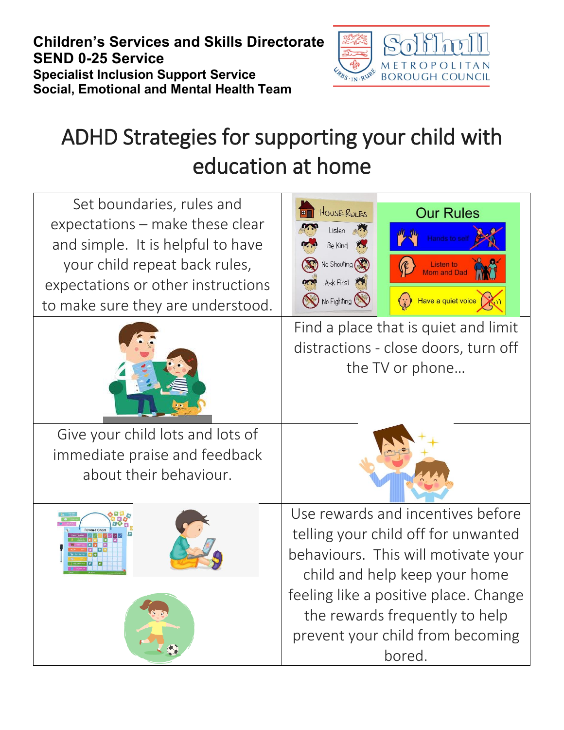**Children's Services and Skills Directorate SEND 0-25 Service Specialist Inclusion Support Service Social, Emotional and Mental Health Team**



## ADHD Strategies for supporting your child with education at home

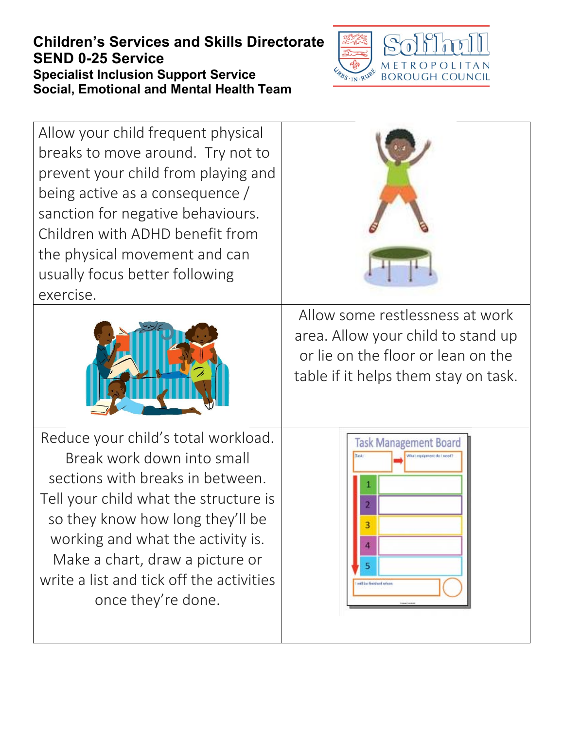## **Children's Services and Skills Directorate SEND 0-25 Service Specialist Inclusion Support Service Social, Emotional and Mental Health Team**



Allow your child frequent physical breaks to move around. Try not to prevent your child from playing and being active as a consequence / sanction for negative behaviours. Children with ADHD benefit from the physical movement and can usually focus better following exercise.



Allow some restlessness at work area. Allow your child to stand up or lie on the floor or lean on the table if it helps them stay on task.

Reduce your child's total workload. Break work down into small sections with breaks in between. Tell your child what the structure is so they know how long they'll be working and what the activity is. Make a chart, draw a picture or write a list and tick off the activities once they're done.